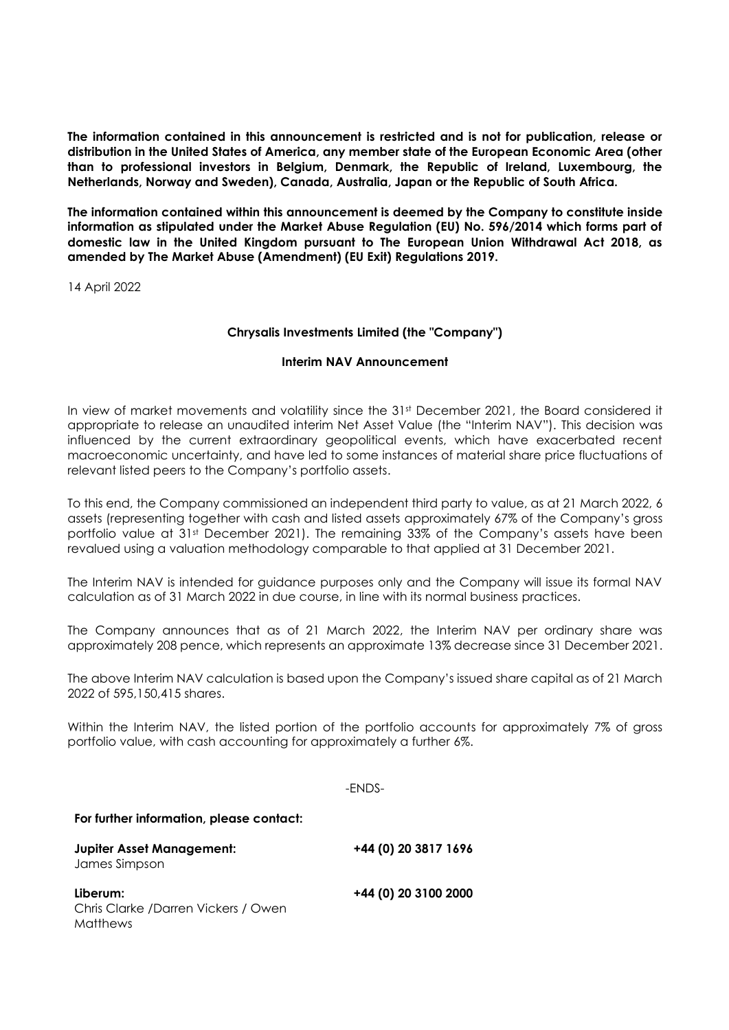**The information contained in this announcement is restricted and is not for publication, release or distribution in the United States of America, any member state of the European Economic Area (other than to professional investors in Belgium, Denmark, the Republic of Ireland, Luxembourg, the Netherlands, Norway and Sweden), Canada, Australia, Japan or the Republic of South Africa.**

**The information contained within this announcement is deemed by the Company to constitute inside information as stipulated under the Market Abuse Regulation (EU) No. 596/2014 which forms part of domestic law in the United Kingdom pursuant to The European Union Withdrawal Act 2018, as amended by The Market Abuse (Amendment) (EU Exit) Regulations 2019.**

14 April 2022

## **Chrysalis Investments Limited (the "Company")**

## **Interim NAV Announcement**

In view of market movements and volatility since the 31st December 2021, the Board considered it appropriate to release an unaudited interim Net Asset Value (the "Interim NAV"). This decision was influenced by the current extraordinary geopolitical events, which have exacerbated recent macroeconomic uncertainty, and have led to some instances of material share price fluctuations of relevant listed peers to the Company's portfolio assets.

To this end, the Company commissioned an independent third party to value, as at 21 March 2022, 6 assets (representing together with cash and listed assets approximately 67% of the Company's gross portfolio value at 31st December 2021). The remaining 33% of the Company's assets have been revalued using a valuation methodology comparable to that applied at 31 December 2021.

The Interim NAV is intended for guidance purposes only and the Company will issue its formal NAV calculation as of 31 March 2022 in due course, in line with its normal business practices.

The Company announces that as of 21 March 2022, the Interim NAV per ordinary share was approximately 208 pence, which represents an approximate 13% decrease since 31 December 2021.

The above Interim NAV calculation is based upon the Company's issued share capital as of 21 March 2022 of 595,150,415 shares.

Within the Interim NAV, the listed portion of the portfolio accounts for approximately 7% of gross portfolio value, with cash accounting for approximately a further 6%.

-ENDS-

**For further information, please contact:** 

| <b>Jupiter Asset Management:</b><br>James Simpson | +44 (0) 20 3817 1696 |
|---------------------------------------------------|----------------------|
| Liberum:                                          | +44 (0) 20 3100 2000 |
| Chris Clarke /Darren Vickers / Owen               |                      |
| Matthews                                          |                      |